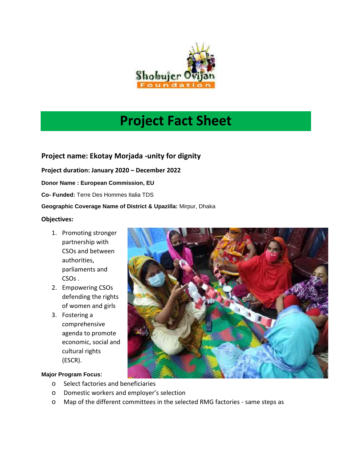

# **Project Fact Sheet**

**Project name: Ekotay Morjada -unity for dignity**

**Project duration: January 2020 – December 2022**

**Donor Name : European Commission, EU**

**Co- Funded:** Terre Des Hommes Italia TDS

#### **Geographic Coverage Name of District & Upazilla:** Mirpur, Dhaka

#### **Objectives:**

- 1. Promoting stronger partnership with CSOs and between authorities, parliaments and CSOs .
- 2. Empowering CSOs defending the rights of women and girls
- 3. Fostering a comprehensive agenda to promote economic, social and cultural rights (ESCR).

#### **Major Program Focus**:

- o Select factories and beneficiaries
- o Domestic workers and employer's selection
- o Map of the different committees in the selected RMG factories same steps as

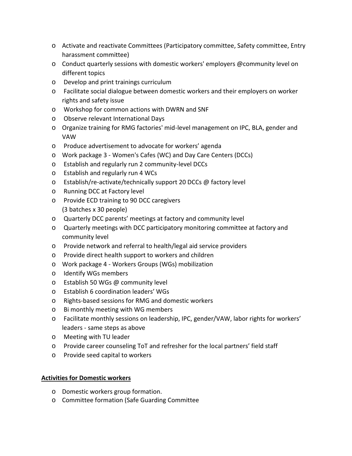- o Activate and reactivate Committees (Participatory committee, Safety committee, Entry harassment committee)
- o Conduct quarterly sessions with domestic workers' employers @community level on different topics
- o Develop and print trainings curriculum
- o Facilitate social dialogue between domestic workers and their employers on worker rights and safety issue
- o Workshop for common actions with DWRN and SNF
- o Observe relevant International Days
- o Organize training for RMG factories' mid-level management on IPC, BLA, gender and VAW
- o Produce advertisement to advocate for workers' agenda
- o Work package 3 Women's Cafes (WC) and Day Care Centers (DCCs)
- o Establish and regularly run 2 community-level DCCs
- o Establish and regularly run 4 WCs
- o Establish/re-activate/technically support 20 DCCs @ factory level
- o Running DCC at Factory level
- o Provide ECD training to 90 DCC caregivers (3 batches x 30 people)
- o Quarterly DCC parents' meetings at factory and community level
- o Quarterly meetings with DCC participatory monitoring committee at factory and community level
- o Provide network and referral to health/legal aid service providers
- o Provide direct health support to workers and children
- o Work package 4 Workers Groups (WGs) mobilization
- o Identify WGs members
- o Establish 50 WGs @ community level
- o Establish 6 coordination leaders' WGs
- o Rights-based sessions for RMG and domestic workers
- o Bi monthly meeting with WG members
- o Facilitate monthly sessions on leadership, IPC, gender/VAW, labor rights for workers' leaders - same steps as above
- o Meeting with TU leader
- o Provide career counseling ToT and refresher for the local partners' field staff
- o Provide seed capital to workers

### **Activities for Domestic workers**

- o Domestic workers group formation.
- o Committee formation (Safe Guarding Committee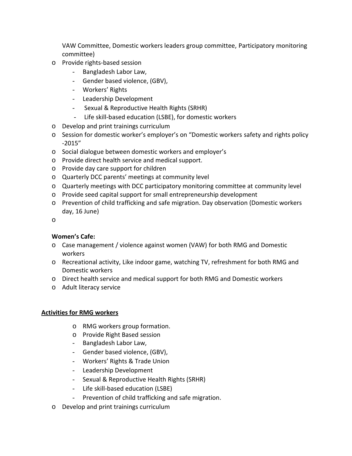VAW Committee, Domestic workers leaders group committee, Participatory monitoring committee)

- o Provide rights-based session
	- Bangladesh Labor Law,
	- Gender based violence, (GBV),
	- Workers' Rights
	- Leadership Development
	- Sexual & Reproductive Health Rights (SRHR)
	- Life skill-based education (LSBE), for domestic workers
- o Develop and print trainings curriculum
- o Session for domestic worker's employer's on "Domestic workers safety and rights policy -2015"
- o Social dialogue between domestic workers and employer's
- o Provide direct health service and medical support.
- o Provide day care support for children
- o Quarterly DCC parents' meetings at community level
- o Quarterly meetings with DCC participatory monitoring committee at community level
- o Provide seed capital support for small entrepreneurship development
- o Prevention of child trafficking and safe migration. Day observation (Domestic workers day, 16 June)
- o

## **Women's Cafe:**

- o Case management / violence against women (VAW) for both RMG and Domestic workers
- o Recreational activity, Like indoor game, watching TV, refreshment for both RMG and Domestic workers
- o Direct health service and medical support for both RMG and Domestic workers
- o Adult literacy service

## **Activities for RMG workers**

- o RMG workers group formation.
- o Provide Right Based session
- Bangladesh Labor Law,
- Gender based violence, (GBV),
- Workers' Rights & Trade Union
- Leadership Development
- Sexual & Reproductive Health Rights (SRHR)
- Life skill-based education (LSBE)
- Prevention of child trafficking and safe migration.
- o Develop and print trainings curriculum